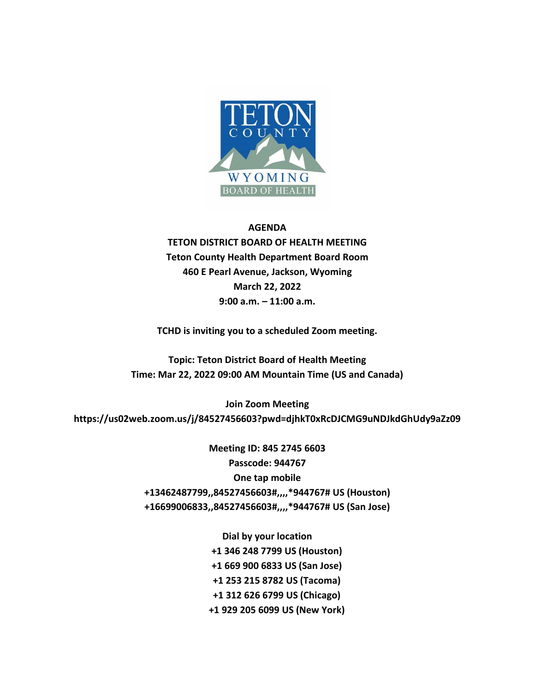

## **AGENDA**

**TETON DISTRICT BOARD OF HEALTH MEETING Teton County Health Department Board Room 460 E Pearl Avenue, Jackson, Wyoming March 22, 2022 9:00 a.m. – 11:00 a.m.**

**TCHD is inviting you to a scheduled Zoom meeting.**

**Topic: Teton District Board of Health Meeting Time: Mar 22, 2022 09:00 AM Mountain Time (US and Canada)**

**Join Zoom Meeting https://us02web.zoom.us/j/84527456603?pwd=djhkT0xRcDJCMG9uNDJkdGhUdy9aZz09**

> **Meeting ID: 845 2745 6603 Passcode: 944767 One tap mobile +13462487799,,84527456603#,,,,\*944767# US (Houston) +16699006833,,84527456603#,,,,\*944767# US (San Jose)**

> > **Dial by your location +1 346 248 7799 US (Houston) +1 669 900 6833 US (San Jose) +1 253 215 8782 US (Tacoma) +1 312 626 6799 US (Chicago) +1 929 205 6099 US (New York)**